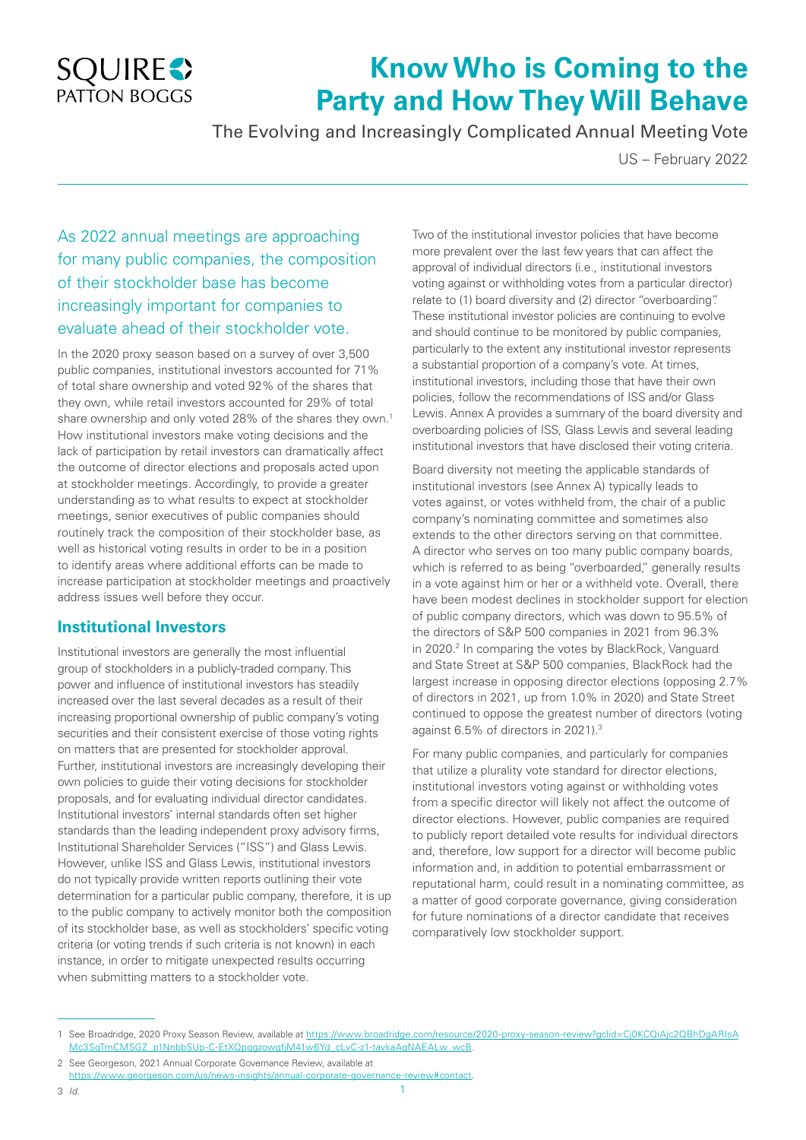

# **Know Who is Coming to the Party and How They Will Behave**

The Evolving and Increasingly Complicated Annual Meeting Vote

US – February 2022

## As 2022 annual meetings are approaching for many public companies, the composition of their stockholder base has become increasingly important for companies to evaluate ahead of their stockholder vote.

In the 2020 proxy season based on a survey of over 3,500 public companies, institutional investors accounted for 71% of total share ownership and voted 92% of the shares that they own, while retail investors accounted for 29% of total share ownership and only voted 28% of the shares they own.1 How institutional investors make voting decisions and the lack of participation by retail investors can dramatically affect the outcome of director elections and proposals acted upon at stockholder meetings. Accordingly, to provide a greater understanding as to what results to expect at stockholder meetings, senior executives of public companies should routinely track the composition of their stockholder base, as well as historical voting results in order to be in a position to identify areas where additional efforts can be made to increase participation at stockholder meetings and proactively address issues well before they occur.

## **Institutional Investors**

Institutional investors are generally the most influential group of stockholders in a publicly-traded company. This power and influence of institutional investors has steadily increased over the last several decades as a result of their increasing proportional ownership of public company's voting securities and their consistent exercise of those voting rights on matters that are presented for stockholder approval. Further, institutional investors are increasingly developing their own policies to guide their voting decisions for stockholder proposals, and for evaluating individual director candidates. Institutional investors' internal standards often set higher standards than the leading independent proxy advisory firms, Institutional Shareholder Services ("ISS") and Glass Lewis. However, unlike ISS and Glass Lewis, institutional investors do not typically provide written reports outlining their vote determination for a particular public company, therefore, it is up to the public company to actively monitor both the composition of its stockholder base, as well as stockholders' specific voting criteria (or voting trends if such criteria is not known) in each instance, in order to mitigate unexpected results occurring when submitting matters to a stockholder vote.

Two of the institutional investor policies that have become more prevalent over the last few years that can affect the approval of individual directors (i.e., institutional investors voting against or withholding votes from a particular director) relate to (1) board diversity and (2) director "overboarding". These institutional investor policies are continuing to evolve and should continue to be monitored by public companies, particularly to the extent any institutional investor represents a substantial proportion of a company's vote. At times, institutional investors, including those that have their own policies, follow the recommendations of ISS and/or Glass Lewis. Annex A provides a summary of the board diversity and overboarding policies of ISS, Glass Lewis and several leading institutional investors that have disclosed their voting criteria.

Board diversity not meeting the applicable standards of institutional investors (see Annex A) typically leads to votes against, or votes withheld from, the chair of a public company's nominating committee and sometimes also extends to the other directors serving on that committee. A director who serves on too many public company boards, which is referred to as being "overboarded," generally results in a vote against him or her or a withheld vote. Overall, there have been modest declines in stockholder support for election of public company directors, which was down to 95.5% of the directors of S&P 500 companies in 2021 from 96.3% in 2020.<sup>2</sup> In comparing the votes by BlackRock, Vanguard and State Street at S&P 500 companies, BlackRock had the largest increase in opposing director elections (opposing 2.7% of directors in 2021, up from 1.0% in 2020) and State Street continued to oppose the greatest number of directors (voting against 6.5% of directors in 2021).3

For many public companies, and particularly for companies that utilize a plurality vote standard for director elections, institutional investors voting against or withholding votes from a specific director will likely not affect the outcome of director elections. However, public companies are required to publicly report detailed vote results for individual directors and, therefore, low support for a director will become public information and, in addition to potential embarrassment or reputational harm, could result in a nominating committee, as a matter of good corporate governance, giving consideration for future nominations of a director candidate that receives comparatively low stockholder support.

<sup>1</sup> See Broadridge, 2020 Proxy Season Review, available at https://www.broadridge.com/resource/2020-proxy-season-review?gclid=Cj0KCQiAjc2QBhDgARIsA Mc3SqTmCMSGZ\_p1NnbbSUp-C-EtXQpqgzowgfjM41w6Yd\_cLvC-z1-tavkaAqNAEALw\_wcB.

<sup>2.</sup> See Georgeson, 2021 Annual Corporate Governance Review, available at https://www.georgeson.com/us/news-insights/annual-corporate-governance-review#contact.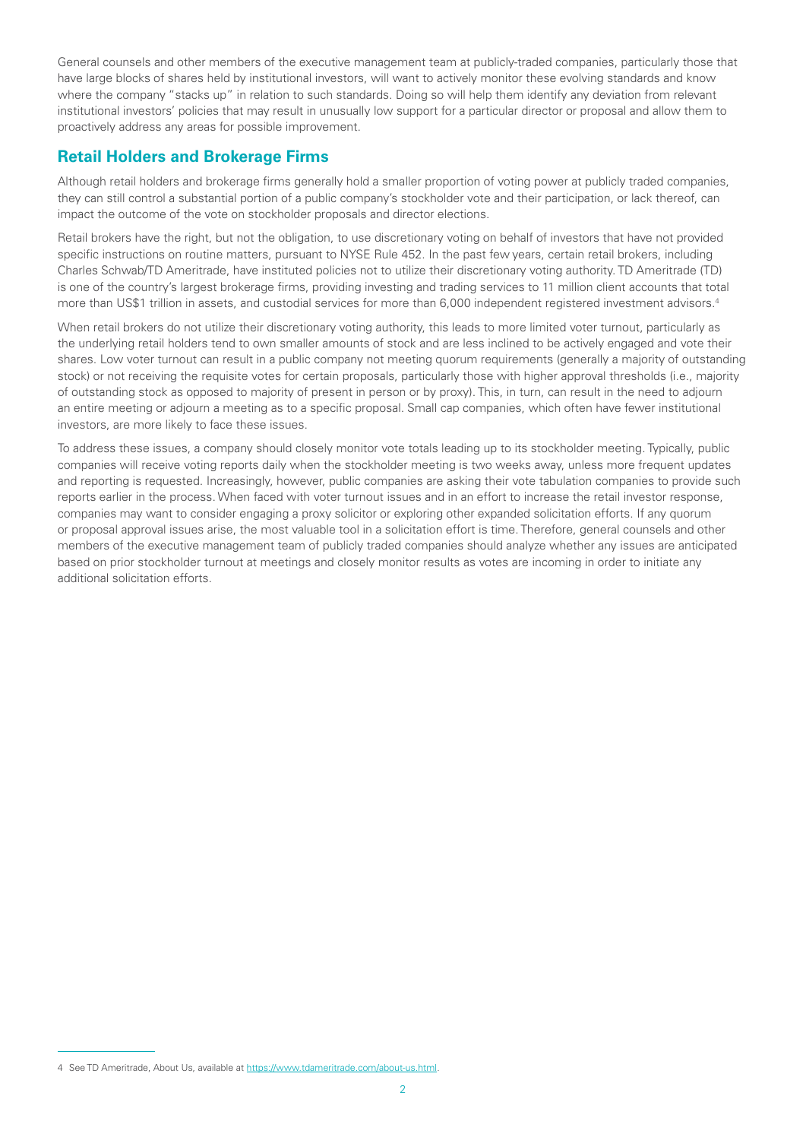General counsels and other members of the executive management team at publicly-traded companies, particularly those that have large blocks of shares held by institutional investors, will want to actively monitor these evolving standards and know where the company "stacks up" in relation to such standards. Doing so will help them identify any deviation from relevant institutional investors' policies that may result in unusually low support for a particular director or proposal and allow them to proactively address any areas for possible improvement.

## **Retail Holders and Brokerage Firms**

Although retail holders and brokerage firms generally hold a smaller proportion of voting power at publicly traded companies, they can still control a substantial portion of a public company's stockholder vote and their participation, or lack thereof, can impact the outcome of the vote on stockholder proposals and director elections.

Retail brokers have the right, but not the obligation, to use discretionary voting on behalf of investors that have not provided specific instructions on routine matters, pursuant to NYSE Rule 452. In the past few years, certain retail brokers, including Charles Schwab/TD Ameritrade, have instituted policies not to utilize their discretionary voting authority. TD Ameritrade (TD) is one of the country's largest brokerage firms, providing investing and trading services to 11 million client accounts that total more than US\$1 trillion in assets, and custodial services for more than 6,000 independent registered investment advisors.<sup>4</sup>

When retail brokers do not utilize their discretionary voting authority, this leads to more limited voter turnout, particularly as the underlying retail holders tend to own smaller amounts of stock and are less inclined to be actively engaged and vote their shares. Low voter turnout can result in a public company not meeting quorum requirements (generally a majority of outstanding stock) or not receiving the requisite votes for certain proposals, particularly those with higher approval thresholds (i.e., majority of outstanding stock as opposed to majority of present in person or by proxy). This, in turn, can result in the need to adjourn an entire meeting or adjourn a meeting as to a specific proposal. Small cap companies, which often have fewer institutional investors, are more likely to face these issues.

To address these issues, a company should closely monitor vote totals leading up to its stockholder meeting. Typically, public companies will receive voting reports daily when the stockholder meeting is two weeks away, unless more frequent updates and reporting is requested. Increasingly, however, public companies are asking their vote tabulation companies to provide such reports earlier in the process. When faced with voter turnout issues and in an effort to increase the retail investor response, companies may want to consider engaging a proxy solicitor or exploring other expanded solicitation efforts. If any quorum or proposal approval issues arise, the most valuable tool in a solicitation effort is time. Therefore, general counsels and other members of the executive management team of publicly traded companies should analyze whether any issues are anticipated based on prior stockholder turnout at meetings and closely monitor results as votes are incoming in order to initiate any additional solicitation efforts.

<sup>4</sup> See TD Ameritrade, About Us, available at https://www.tdameritrade.com/about-us.html.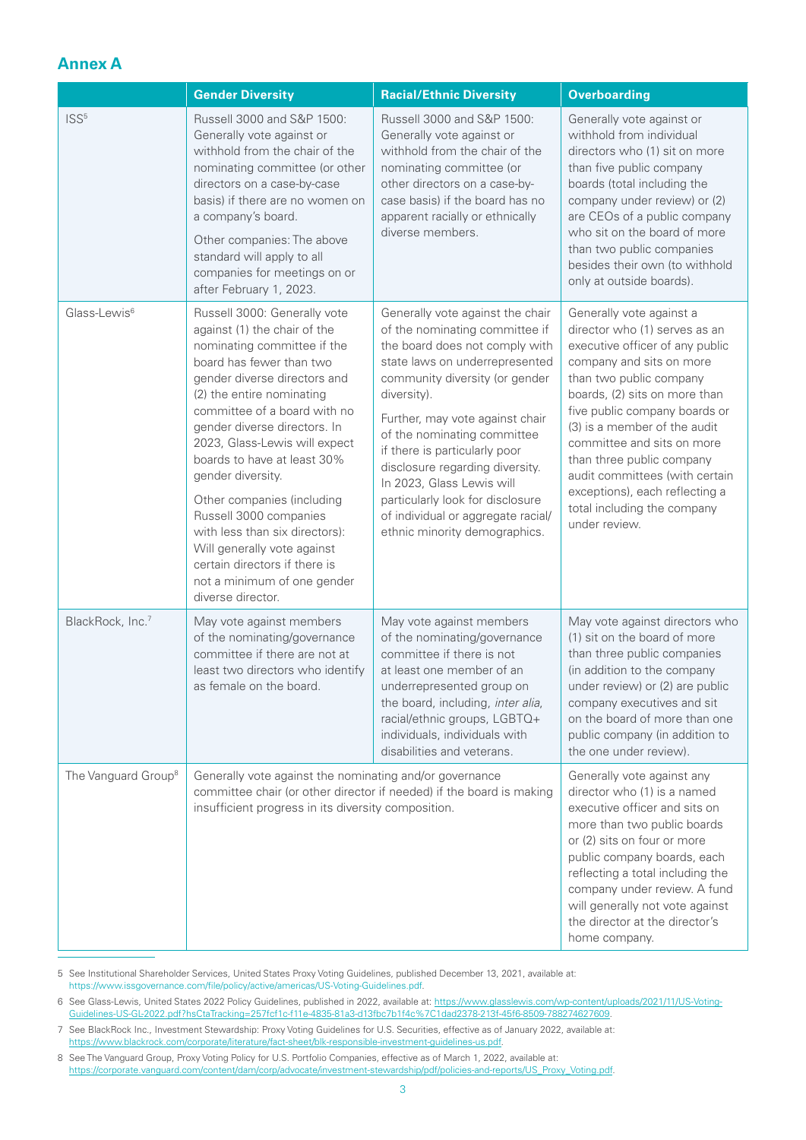## **Annex A**

|                                 | <b>Gender Diversity</b>                                                                                                                                                                                                                                                                                                                                                                                                                                                                                                                                 | <b>Racial/Ethnic Diversity</b>                                                                                                                                                                                                                                                                                                                                                                                                                                        | <b>Overboarding</b>                                                                                                                                                                                                                                                                                                                                                                                                                  |
|---------------------------------|---------------------------------------------------------------------------------------------------------------------------------------------------------------------------------------------------------------------------------------------------------------------------------------------------------------------------------------------------------------------------------------------------------------------------------------------------------------------------------------------------------------------------------------------------------|-----------------------------------------------------------------------------------------------------------------------------------------------------------------------------------------------------------------------------------------------------------------------------------------------------------------------------------------------------------------------------------------------------------------------------------------------------------------------|--------------------------------------------------------------------------------------------------------------------------------------------------------------------------------------------------------------------------------------------------------------------------------------------------------------------------------------------------------------------------------------------------------------------------------------|
| ISS <sup>5</sup>                | Russell 3000 and S&P 1500:<br>Generally vote against or<br>withhold from the chair of the<br>nominating committee (or other<br>directors on a case-by-case<br>basis) if there are no women on<br>a company's board.<br>Other companies: The above<br>standard will apply to all<br>companies for meetings on or<br>after February 1, 2023.                                                                                                                                                                                                              | Russell 3000 and S&P 1500:<br>Generally vote against or<br>withhold from the chair of the<br>nominating committee (or<br>other directors on a case-by-<br>case basis) if the board has no<br>apparent racially or ethnically<br>diverse members.                                                                                                                                                                                                                      | Generally vote against or<br>withhold from individual<br>directors who (1) sit on more<br>than five public company<br>boards (total including the<br>company under review) or (2)<br>are CEOs of a public company<br>who sit on the board of more<br>than two public companies<br>besides their own (to withhold<br>only at outside boards).                                                                                         |
| Glass-Lewis <sup>6</sup>        | Russell 3000: Generally vote<br>against (1) the chair of the<br>nominating committee if the<br>board has fewer than two<br>gender diverse directors and<br>(2) the entire nominating<br>committee of a board with no<br>gender diverse directors. In<br>2023, Glass-Lewis will expect<br>boards to have at least 30%<br>gender diversity.<br>Other companies (including<br>Russell 3000 companies<br>with less than six directors):<br>Will generally vote against<br>certain directors if there is<br>not a minimum of one gender<br>diverse director. | Generally vote against the chair<br>of the nominating committee if<br>the board does not comply with<br>state laws on underrepresented<br>community diversity (or gender<br>diversity).<br>Further, may vote against chair<br>of the nominating committee<br>if there is particularly poor<br>disclosure regarding diversity.<br>In 2023, Glass Lewis will<br>particularly look for disclosure<br>of individual or aggregate racial/<br>ethnic minority demographics. | Generally vote against a<br>director who (1) serves as an<br>executive officer of any public<br>company and sits on more<br>than two public company<br>boards, (2) sits on more than<br>five public company boards or<br>(3) is a member of the audit<br>committee and sits on more<br>than three public company<br>audit committees (with certain<br>exceptions), each reflecting a<br>total including the company<br>under review. |
| BlackRock, Inc.7                | May vote against members<br>of the nominating/governance<br>committee if there are not at<br>least two directors who identify<br>as female on the board.                                                                                                                                                                                                                                                                                                                                                                                                | May vote against members<br>of the nominating/governance<br>committee if there is not<br>at least one member of an<br>underrepresented group on<br>the board, including, inter alia,<br>racial/ethnic groups, LGBTQ+<br>individuals, individuals with<br>disabilities and veterans.                                                                                                                                                                                   | May vote against directors who<br>(1) sit on the board of more<br>than three public companies<br>(in addition to the company<br>under review) or (2) are public<br>company executives and sit<br>on the board of more than one<br>public company (in addition to<br>the one under review).                                                                                                                                           |
| The Vanguard Group <sup>8</sup> | Generally vote against the nominating and/or governance<br>committee chair (or other director if needed) if the board is making<br>insufficient progress in its diversity composition.                                                                                                                                                                                                                                                                                                                                                                  |                                                                                                                                                                                                                                                                                                                                                                                                                                                                       | Generally vote against any<br>director who (1) is a named<br>executive officer and sits on<br>more than two public boards<br>or (2) sits on four or more<br>public company boards, each<br>reflecting a total including the<br>company under review. A fund<br>will generally not vote against<br>the director at the director's<br>home company.                                                                                    |

5 See Institutional Shareholder Services, United States Proxy Voting Guidelines, published December 13, 2021, available at: https://www.issgovernance.com/file/policy/active/americas/US-Voting-Guidelines.pdf.

6 See Glass-Lewis, United States 2022 Policy Guidelines, published in 2022, available at: https://www.glasslewis.com/wp-content/uploads/2021/11/US-Voting-Guidelines-US-GL-2022.pdf?hsCtaTracking=257fcf1c-f11e-4835-81a3-d13fbc7b1f4c%7C1dad2378-213f-45f6-8509-788274627609.

7 See BlackRock Inc., Investment Stewardship: Proxy Voting Guidelines for U.S. Securities, effective as of January 2022, available at: https://www.blackrock.com/corporate/literature/fact-sheet/blk-responsible-investment-guidelines-us.pdf.

8 See The Vanguard Group, Proxy Voting Policy for U.S. Portfolio Companies, effective as of March 1, 2022, available at: https://corporate.vanguard.com/content/dam/corp/advocate/investment-stewardship/pdf/policies-and-reports/US\_Proxy\_Voting.pdf.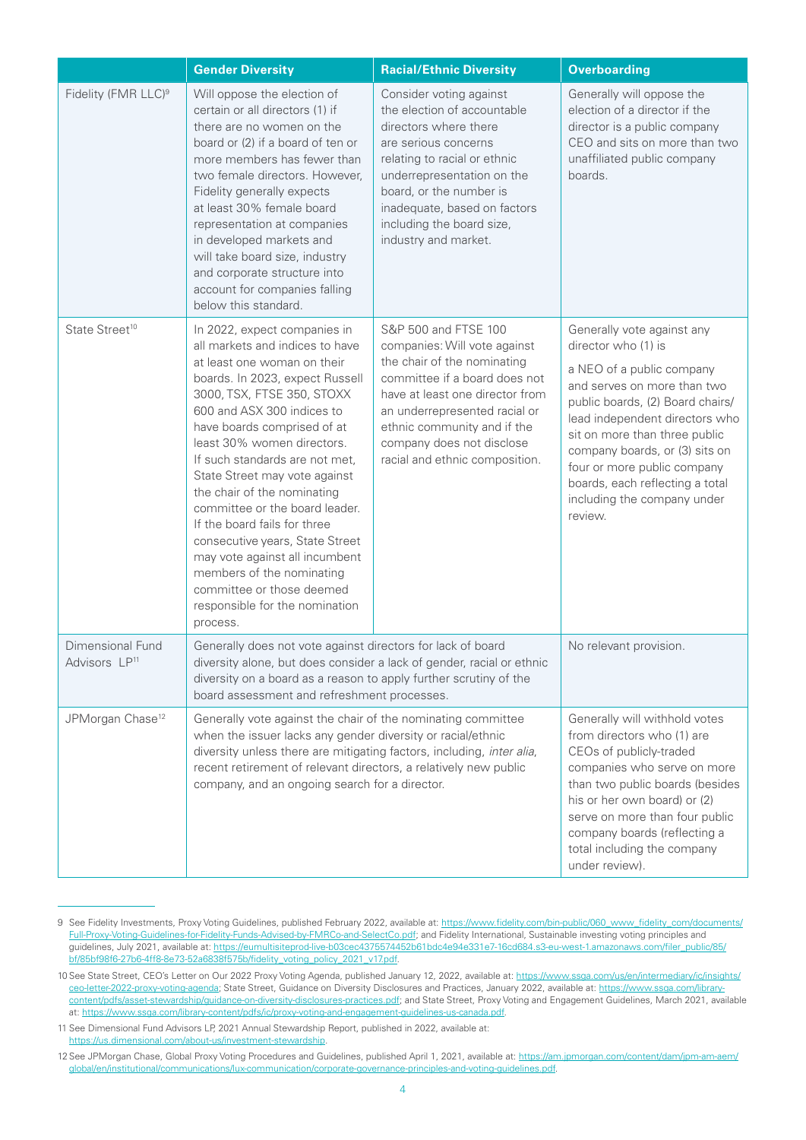|                                               | <b>Gender Diversity</b>                                                                                                                                                                                                                                                                                                                                                                                                                                                                                                                                                                                     | <b>Racial/Ethnic Diversity</b>                                                                                                                                                                                                                                                         | <b>Overboarding</b>                                                                                                                                                                                                                                                                                                                                                |
|-----------------------------------------------|-------------------------------------------------------------------------------------------------------------------------------------------------------------------------------------------------------------------------------------------------------------------------------------------------------------------------------------------------------------------------------------------------------------------------------------------------------------------------------------------------------------------------------------------------------------------------------------------------------------|----------------------------------------------------------------------------------------------------------------------------------------------------------------------------------------------------------------------------------------------------------------------------------------|--------------------------------------------------------------------------------------------------------------------------------------------------------------------------------------------------------------------------------------------------------------------------------------------------------------------------------------------------------------------|
| Fidelity (FMR LLC) <sup>9</sup>               | Will oppose the election of<br>certain or all directors (1) if<br>there are no women on the<br>board or (2) if a board of ten or<br>more members has fewer than<br>two female directors. However,<br>Fidelity generally expects<br>at least 30% female board<br>representation at companies<br>in developed markets and<br>will take board size, industry<br>and corporate structure into<br>account for companies falling<br>below this standard.                                                                                                                                                          | Consider voting against<br>the election of accountable<br>directors where there<br>are serious concerns<br>relating to racial or ethnic<br>underrepresentation on the<br>board, or the number is<br>inadequate, based on factors<br>including the board size,<br>industry and market.  | Generally will oppose the<br>election of a director if the<br>director is a public company<br>CEO and sits on more than two<br>unaffiliated public company<br>boards.                                                                                                                                                                                              |
| State Street <sup>10</sup>                    | In 2022, expect companies in<br>all markets and indices to have<br>at least one woman on their<br>boards. In 2023, expect Russell<br>3000, TSX, FTSE 350, STOXX<br>600 and ASX 300 indices to<br>have boards comprised of at<br>least 30% women directors.<br>If such standards are not met,<br>State Street may vote against<br>the chair of the nominating<br>committee or the board leader.<br>If the board fails for three<br>consecutive years, State Street<br>may vote against all incumbent<br>members of the nominating<br>committee or those deemed<br>responsible for the nomination<br>process. | S&P 500 and FTSE 100<br>companies: Will vote against<br>the chair of the nominating<br>committee if a board does not<br>have at least one director from<br>an underrepresented racial or<br>ethnic community and if the<br>company does not disclose<br>racial and ethnic composition. | Generally vote against any<br>director who (1) is<br>a NEO of a public company<br>and serves on more than two<br>public boards, (2) Board chairs/<br>lead independent directors who<br>sit on more than three public<br>company boards, or (3) sits on<br>four or more public company<br>boards, each reflecting a total<br>including the company under<br>review. |
| Dimensional Fund<br>Advisors LP <sup>11</sup> | Generally does not vote against directors for lack of board<br>diversity alone, but does consider a lack of gender, racial or ethnic<br>diversity on a board as a reason to apply further scrutiny of the<br>board assessment and refreshment processes.                                                                                                                                                                                                                                                                                                                                                    |                                                                                                                                                                                                                                                                                        | No relevant provision.                                                                                                                                                                                                                                                                                                                                             |
| JPMorgan Chase <sup>12</sup>                  | Generally vote against the chair of the nominating committee<br>when the issuer lacks any gender diversity or racial/ethnic<br>diversity unless there are mitigating factors, including, inter alia,<br>recent retirement of relevant directors, a relatively new public<br>company, and an ongoing search for a director.                                                                                                                                                                                                                                                                                  |                                                                                                                                                                                                                                                                                        | Generally will withhold votes<br>from directors who (1) are<br>CEOs of publicly-traded<br>companies who serve on more<br>than two public boards (besides<br>his or her own board) or (2)<br>serve on more than four public<br>company boards (reflecting a<br>total including the company<br>under review).                                                        |

<sup>9</sup> See Fidelity Investments, Proxy Voting Guidelines, published February 2022, available at: https://www.fidelity.com/bin-public/060\_www\_fidelity\_com/documents/ Full-Proxy-Voting-Guidelines-for-Fidelity-Funds-Advised-by-FMRCo-and-SelectCo.pdf; and Fidelity International, Sustainable investing voting principles and quidelines, July 2021, available at: https://eumultisiteprod-live-b03cec4375574452b61bdc4e94e331e7-16cd684.s3-eu-west-1.amazonaws.com/filer\_public/85/ bf/85bf98f6-27b6-4ff8-8e73-52a6838f575b/fidelity\_voting\_policy\_2021\_v17.pdf.

<sup>10</sup> See State Street, CEO's Letter on Our 2022 Proxy Voting Agenda, published January 12, 2022, available at: https://www.ssga.com/us/en/intermediary/ic/insights/ ceo-letter-2022-proxy-voting-agenda; State Street, Guidance on Diversity Disclosures and Practices, January 2022, available at: https://www.ssga.com/librarycontent/pdfs/asset-stewardship/guidance-on-diversity-disclosures-practices.pdf; and State Street, Proxy Voting and Engagement Guidelines, March 2021, available at: https://www.ssga.com/library-content/pdfs/ic/proxy-voting-and-engagement-guidelines-us-canada.pdf.

<sup>11</sup> See Dimensional Fund Advisors LP, 2021 Annual Stewardship Report, published in 2022, available at: https://us.dimensional.com/about-us/investment-stewardship.

<sup>12</sup> See JPMorgan Chase, Global Proxy Voting Procedures and Guidelines, published April 1, 2021, available at: https://am.jpmorgan.com/content/dam/jpm-am-aem/ global/en/institutional/communications/lux-communication/corporate-governance-principles-and-voting-guidelines.pdf.